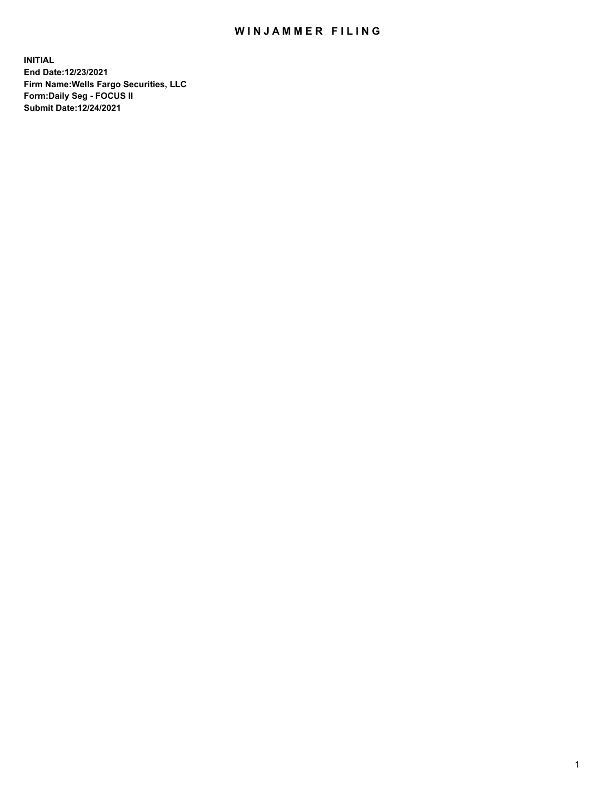## WIN JAMMER FILING

**INITIAL End Date:12/23/2021 Firm Name:Wells Fargo Securities, LLC Form:Daily Seg - FOCUS II Submit Date:12/24/2021**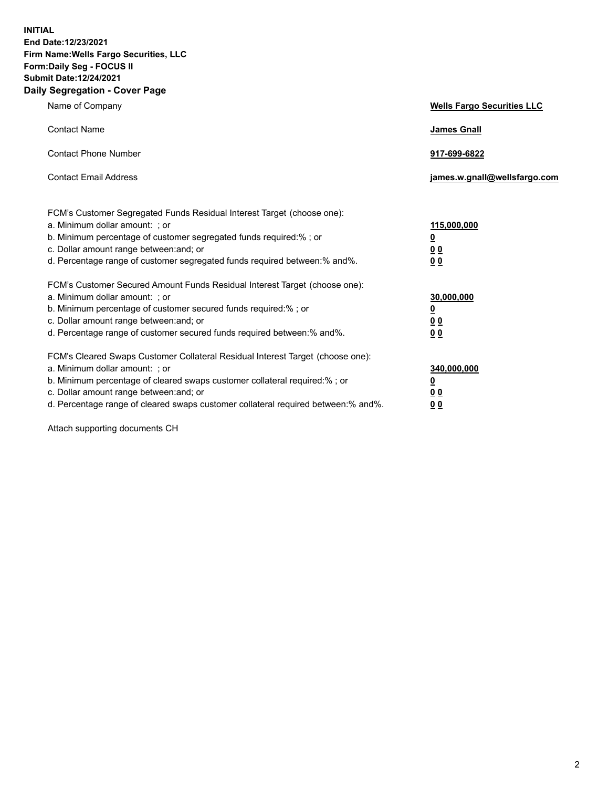**INITIAL End Date:12/23/2021 Firm Name:Wells Fargo Securities, LLC Form:Daily Seg - FOCUS II Submit Date:12/24/2021 Daily Segregation - Cover Page**

| Name of Company                                                                                                                                                                                                                                                                                                                | <b>Wells Fargo Securities LLC</b>                          |
|--------------------------------------------------------------------------------------------------------------------------------------------------------------------------------------------------------------------------------------------------------------------------------------------------------------------------------|------------------------------------------------------------|
| <b>Contact Name</b>                                                                                                                                                                                                                                                                                                            | <b>James Gnall</b>                                         |
| <b>Contact Phone Number</b>                                                                                                                                                                                                                                                                                                    | 917-699-6822                                               |
| <b>Contact Email Address</b>                                                                                                                                                                                                                                                                                                   | james.w.gnall@wellsfargo.com                               |
| FCM's Customer Segregated Funds Residual Interest Target (choose one):<br>a. Minimum dollar amount: ; or<br>b. Minimum percentage of customer segregated funds required:% ; or<br>c. Dollar amount range between: and; or<br>d. Percentage range of customer segregated funds required between:% and%.                         | 115,000,000<br><u>0</u><br>0 <sub>0</sub><br>00            |
| FCM's Customer Secured Amount Funds Residual Interest Target (choose one):<br>a. Minimum dollar amount: ; or<br>b. Minimum percentage of customer secured funds required:%; or<br>c. Dollar amount range between: and; or<br>d. Percentage range of customer secured funds required between:% and%.                            | 30,000,000<br><u>0</u><br>0 <sub>0</sub><br>0 <sub>0</sub> |
| FCM's Cleared Swaps Customer Collateral Residual Interest Target (choose one):<br>a. Minimum dollar amount: ; or<br>b. Minimum percentage of cleared swaps customer collateral required:% ; or<br>c. Dollar amount range between: and; or<br>d. Percentage range of cleared swaps customer collateral required between:% and%. | 340,000,000<br><u>0</u><br>00<br>00                        |

Attach supporting documents CH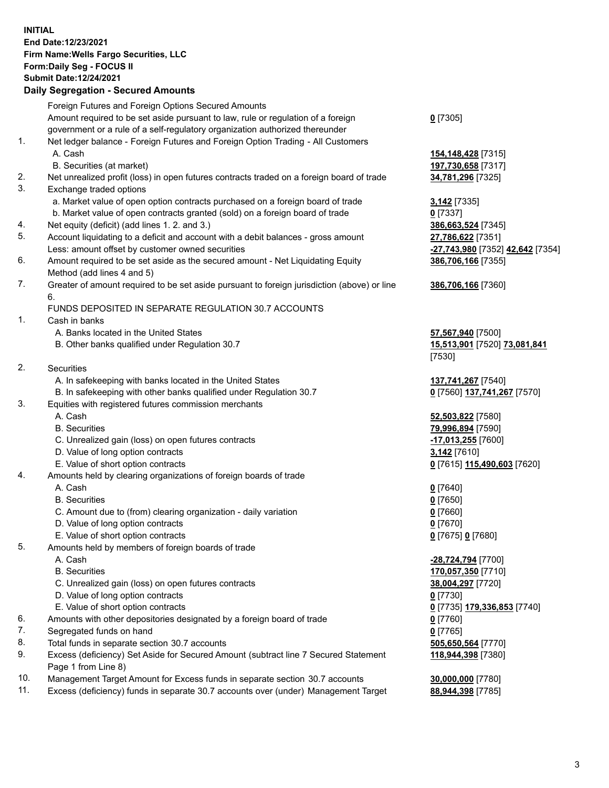**INITIAL End Date:12/23/2021 Firm Name:Wells Fargo Securities, LLC Form:Daily Seg - FOCUS II Submit Date:12/24/2021**

## **Daily Segregation - Secured Amounts**

|     | Foreign Futures and Foreign Options Secured Amounts                                         |                                                      |
|-----|---------------------------------------------------------------------------------------------|------------------------------------------------------|
|     | Amount required to be set aside pursuant to law, rule or regulation of a foreign            | $0$ [7305]                                           |
|     | government or a rule of a self-regulatory organization authorized thereunder                |                                                      |
| 1.  | Net ledger balance - Foreign Futures and Foreign Option Trading - All Customers             |                                                      |
|     | A. Cash                                                                                     | 154,148,428 [7315]                                   |
|     | B. Securities (at market)                                                                   | 197,730,658 [7317]                                   |
| 2.  | Net unrealized profit (loss) in open futures contracts traded on a foreign board of trade   | 34,781,296 [7325]                                    |
| 3.  | Exchange traded options                                                                     |                                                      |
|     | a. Market value of open option contracts purchased on a foreign board of trade              | 3,142 <sub>[7335]</sub>                              |
|     | b. Market value of open contracts granted (sold) on a foreign board of trade                | $0$ [7337]                                           |
| 4.  | Net equity (deficit) (add lines 1. 2. and 3.)                                               | 386,663,524 [7345]                                   |
| 5.  | Account liquidating to a deficit and account with a debit balances - gross amount           | 27,786,622 [7351]                                    |
|     | Less: amount offset by customer owned securities                                            | <mark>-27,743,980</mark> [7352] <b>42,642</b> [7354] |
| 6.  | Amount required to be set aside as the secured amount - Net Liquidating Equity              | 386,706,166 [7355]                                   |
|     | Method (add lines 4 and 5)                                                                  |                                                      |
| 7.  | Greater of amount required to be set aside pursuant to foreign jurisdiction (above) or line | 386,706,166 [7360]                                   |
|     | 6.                                                                                          |                                                      |
|     | FUNDS DEPOSITED IN SEPARATE REGULATION 30.7 ACCOUNTS                                        |                                                      |
| 1.  | Cash in banks                                                                               |                                                      |
|     | A. Banks located in the United States                                                       | 57,567,940 [7500]                                    |
|     | B. Other banks qualified under Regulation 30.7                                              | 15,513,901 [7520] 73,081,841                         |
|     |                                                                                             | [7530]                                               |
| 2.  | Securities                                                                                  |                                                      |
|     | A. In safekeeping with banks located in the United States                                   | 137,741,267 [7540]                                   |
|     | B. In safekeeping with other banks qualified under Regulation 30.7                          | 0 [7560] 137,741,267 [7570]                          |
| 3.  | Equities with registered futures commission merchants                                       |                                                      |
|     | A. Cash                                                                                     | 52,503,822 [7580]                                    |
|     | <b>B.</b> Securities                                                                        | 79,996,894 [7590]                                    |
|     | C. Unrealized gain (loss) on open futures contracts                                         | -17,013,255 [7600]                                   |
|     | D. Value of long option contracts                                                           | 3,142 [7610]                                         |
|     | E. Value of short option contracts                                                          | 0 [7615] 115,490,603 [7620]                          |
| 4.  | Amounts held by clearing organizations of foreign boards of trade                           |                                                      |
|     | A. Cash                                                                                     | $0$ [7640]                                           |
|     | <b>B.</b> Securities                                                                        | $0$ [7650]                                           |
|     | C. Amount due to (from) clearing organization - daily variation                             | $0$ [7660]                                           |
|     | D. Value of long option contracts                                                           | $0$ [7670]                                           |
|     | E. Value of short option contracts                                                          | 0 [7675] 0 [7680]                                    |
| 5.  | Amounts held by members of foreign boards of trade                                          |                                                      |
|     | A. Cash                                                                                     | -28,724,794 [7700]                                   |
|     | <b>B.</b> Securities                                                                        | 170,057,350 [7710]                                   |
|     | C. Unrealized gain (loss) on open futures contracts                                         | 38,004,297 [7720]                                    |
|     | D. Value of long option contracts                                                           | $0$ [7730]                                           |
|     | E. Value of short option contracts                                                          | 0 [7735] 179,336,853 [7740]                          |
| 6.  | Amounts with other depositories designated by a foreign board of trade                      | $0$ [7760]                                           |
| 7.  | Segregated funds on hand                                                                    | $0$ [7765]                                           |
| 8.  | Total funds in separate section 30.7 accounts                                               | 505,650,564 [7770]                                   |
| 9.  | Excess (deficiency) Set Aside for Secured Amount (subtract line 7 Secured Statement         | 118,944,398 [7380]                                   |
|     | Page 1 from Line 8)                                                                         |                                                      |
| 10. | Management Target Amount for Excess funds in separate section 30.7 accounts                 | 30,000,000 [7780]                                    |

11. Excess (deficiency) funds in separate 30.7 accounts over (under) Management Target **88,944,398** [7785]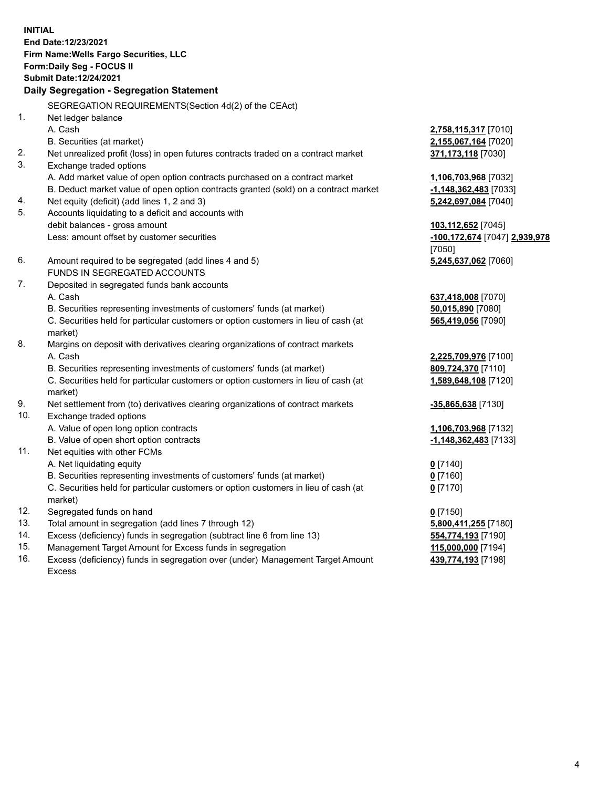**INITIAL End Date:12/23/2021 Firm Name:Wells Fargo Securities, LLC Form:Daily Seg - FOCUS II Submit Date:12/24/2021**

## **Daily Segregation - Segregation Statement**

SEGREGATION REQUIREMENTS(Section 4d(2) of the CEAct)

| 1.  | Net ledger balance                                                                  |                               |
|-----|-------------------------------------------------------------------------------------|-------------------------------|
|     | A. Cash                                                                             | 2,758,115,317 [7010]          |
|     | B. Securities (at market)                                                           | 2,155,067,164 [7020]          |
| 2.  | Net unrealized profit (loss) in open futures contracts traded on a contract market  | 371,173,118 [7030]            |
| 3.  | Exchange traded options                                                             |                               |
|     | A. Add market value of open option contracts purchased on a contract market         | 1,106,703,968 [7032]          |
|     | B. Deduct market value of open option contracts granted (sold) on a contract market | $-1,148,362,483$ [7033]       |
| 4.  | Net equity (deficit) (add lines 1, 2 and 3)                                         | 5,242,697,084 [7040]          |
| 5.  | Accounts liquidating to a deficit and accounts with                                 |                               |
|     | debit balances - gross amount                                                       | 103,112,652 [7045]            |
|     | Less: amount offset by customer securities                                          | -100,172,674 [7047] 2,939,978 |
|     |                                                                                     | [7050]                        |
| 6.  | Amount required to be segregated (add lines 4 and 5)                                | 5,245,637,062 [7060]          |
|     | FUNDS IN SEGREGATED ACCOUNTS                                                        |                               |
| 7.  | Deposited in segregated funds bank accounts                                         |                               |
|     | A. Cash                                                                             | 637,418,008 [7070]            |
|     | B. Securities representing investments of customers' funds (at market)              | 50,015,890 [7080]             |
|     | C. Securities held for particular customers or option customers in lieu of cash (at | 565,419,056 [7090]            |
|     | market)                                                                             |                               |
| 8.  | Margins on deposit with derivatives clearing organizations of contract markets      |                               |
|     | A. Cash                                                                             | 2,225,709,976 [7100]          |
|     | B. Securities representing investments of customers' funds (at market)              | 809,724,370 [7110]            |
|     | C. Securities held for particular customers or option customers in lieu of cash (at | 1,589,648,108 [7120]          |
|     | market)                                                                             |                               |
| 9.  | Net settlement from (to) derivatives clearing organizations of contract markets     | -35,865,638 [7130]            |
| 10. | Exchange traded options                                                             |                               |
|     | A. Value of open long option contracts                                              | 1,106,703,968 [7132]          |
|     | B. Value of open short option contracts                                             | -1,148,362,483 [7133]         |
| 11. | Net equities with other FCMs                                                        |                               |
|     | A. Net liquidating equity                                                           | $0$ [7140]                    |
|     | B. Securities representing investments of customers' funds (at market)              | $0$ [7160]                    |
|     | C. Securities held for particular customers or option customers in lieu of cash (at | $0$ [7170]                    |
|     | market)                                                                             |                               |
| 12. | Segregated funds on hand                                                            | $0$ [7150]                    |
| 13. | Total amount in segregation (add lines 7 through 12)                                | 5,800,411,255 [7180]          |
| 14. | Excess (deficiency) funds in segregation (subtract line 6 from line 13)             | 554,774,193 [7190]            |
| 15. | Management Target Amount for Excess funds in segregation                            | 115,000,000 [7194]            |
| 16. | Excess (deficiency) funds in segregation over (under) Management Target Amount      | 439,774,193 [7198]            |
|     | Excess                                                                              |                               |